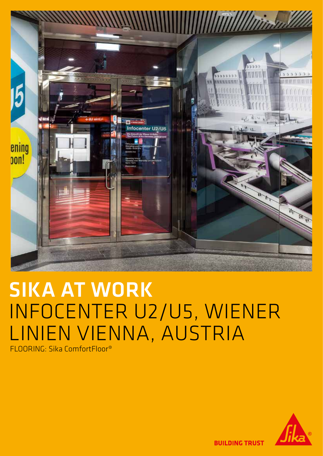

# SIKA AT WORK INFOCENTER U2/U5, WIENER LINIEN VIENNA, AUSTRIA

FLOORING: Sika ComfortFloor®



**BUILDING TRUST**